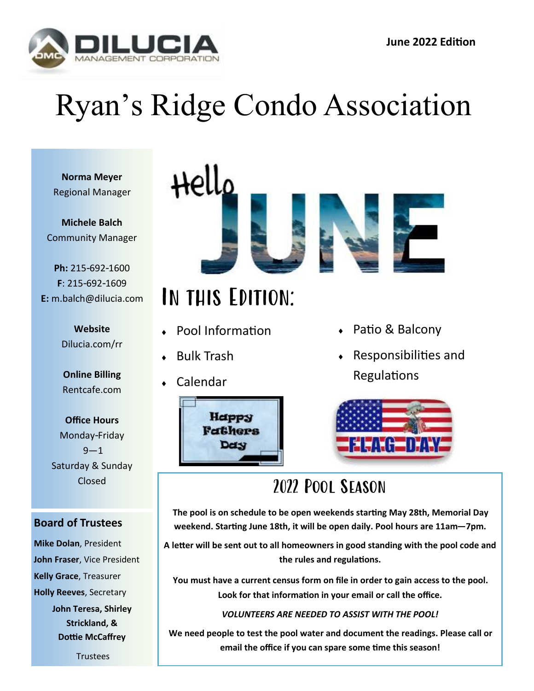

# Ryan's Ridge Condo Association

**Norma Meyer** Regional Manager

**Michele Balch** Community Manager

**Ph:** 215-692-1600 **F**: 215-692-1609 **E:** m.balch@dilucia.com

> **Website** Dilucia.com/rr

**Online Billing** Rentcafe.com

**Office Hours** Monday-Friday  $9 - 1$ Saturday & Sunday Closed

#### **Board of Trustees**

**Mike Dolan**, President **John Fraser**, Vice President **Kelly Grace**, Treasurer **Holly Reeves**, Secretary **John Teresa, Shirley** 

**Strickland, & Dottie McCaffrey**

**Trustees** 



## In this Edition:

- Pool Information
- ◆ Bulk Trash
- Calendar



- ◆ Patio & Balcony
- Responsibilities and **Regulations**



## 2022 Pool Season

**The pool is on schedule to be open weekends starting May 28th, Memorial Day weekend. Starting June 18th, it will be open daily. Pool hours are 11am—7pm.**

**A letter will be sent out to all homeowners in good standing with the pool code and the rules and regulations.** 

**You must have a current census form on file in order to gain access to the pool. Look for that information in your email or call the office.**

#### *VOLUNTEERS ARE NEEDED TO ASSIST WITH THE POOL!*

**We need people to test the pool water and document the readings. Please call or email the office if you can spare some time this season!**